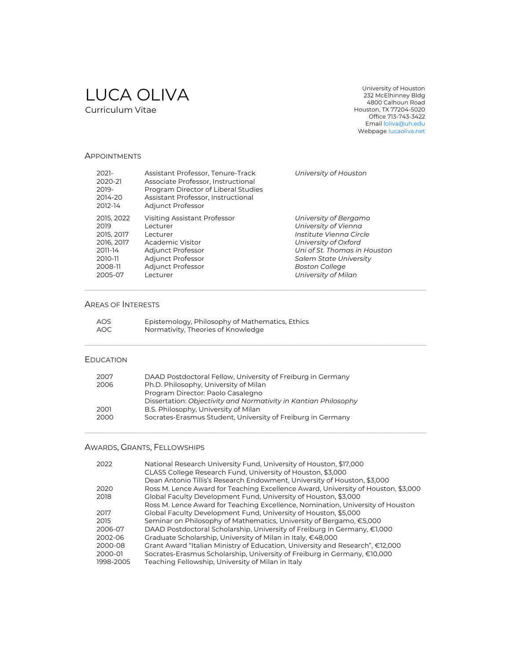# LUCA OLIVA Curriculum Vitae

University of Houston 232 McElhinney Bldg 4800 Calhoun Road Houston, TX 77204-5020 Office 713-743-3422 Email loliva@uh.edu Webpage lucaoliva.net

#### APPOINTMENTS

| $2021 -$<br>2020-21<br>2019-<br>2014-20<br>2012-14 | Assistant Professor, Tenure-Track<br>Associate Professor, Instructional<br>Program Director of Liberal Studies<br>Assistant Professor, Instructional<br>Adjunct Professor | University of Houston         |
|----------------------------------------------------|---------------------------------------------------------------------------------------------------------------------------------------------------------------------------|-------------------------------|
| 2015, 2022                                         | Visiting Assistant Professor                                                                                                                                              | University of Bergamo         |
| 2019                                               | l ecturer                                                                                                                                                                 | University of Vienna          |
| 2015, 2017                                         | Lecturer                                                                                                                                                                  | Institute Vienna Circle       |
| 2016, 2017                                         | Academic Visitor                                                                                                                                                          | University of Oxford          |
| 2011-14                                            | Adjunct Professor                                                                                                                                                         | Uni of St. Thomas in Houston  |
| 2010-11                                            | Adjunct Professor                                                                                                                                                         | <b>Salem State University</b> |
| 2008-11                                            | Adjunct Professor                                                                                                                                                         | <b>Boston College</b>         |
| 2005-07                                            | Lecturer                                                                                                                                                                  | University of Milan           |

\_\_\_\_\_\_\_\_\_\_\_\_\_\_\_\_\_\_\_\_\_\_\_\_\_\_\_\_\_\_\_\_\_\_\_\_\_\_\_\_\_\_\_\_\_\_\_\_\_\_\_\_\_\_\_\_\_\_\_\_\_\_\_\_\_\_\_\_\_\_\_\_\_\_\_\_\_\_\_\_\_\_\_\_\_\_\_\_\_\_\_\_\_\_\_\_\_\_\_\_\_\_\_\_\_\_\_\_\_\_\_\_\_\_\_\_\_\_\_\_\_\_\_\_\_\_\_\_\_\_\_\_\_\_\_\_\_\_\_\_\_\_\_\_\_\_\_\_\_\_\_\_\_\_\_\_\_\_\_\_\_\_\_\_\_\_\_\_\_\_\_\_\_\_\_\_\_\_\_\_\_\_\_\_\_\_\_\_\_\_\_\_\_\_\_\_\_\_\_\_\_\_\_\_\_

\_\_\_\_\_\_\_\_\_\_\_\_\_\_\_\_\_\_\_\_\_\_\_\_\_\_\_\_\_\_\_\_\_\_\_\_\_\_\_\_\_\_\_\_\_\_\_\_\_\_\_\_\_\_\_\_\_\_\_\_\_\_\_\_\_\_\_\_\_\_\_\_\_\_\_\_\_\_\_\_\_\_\_\_\_\_\_\_\_\_\_\_\_\_\_\_\_\_\_\_\_\_\_\_\_\_\_\_\_\_\_\_\_\_\_\_\_\_\_\_\_\_\_\_\_\_\_\_\_\_\_\_\_\_\_\_\_\_\_\_\_\_\_\_\_\_\_\_\_\_\_\_\_\_\_\_\_\_\_\_\_\_\_\_\_\_\_\_\_\_\_\_\_\_\_\_\_\_\_\_\_\_\_\_\_\_\_\_\_\_\_\_\_\_\_\_\_\_\_\_\_\_\_\_\_

\_\_\_\_\_\_\_\_\_\_\_\_\_\_\_\_\_\_\_\_\_\_\_\_\_\_\_\_\_\_\_\_\_\_\_\_\_\_\_\_\_\_\_\_\_\_\_\_\_\_\_\_\_\_\_\_\_\_\_\_\_\_\_\_\_\_\_\_\_\_\_\_\_\_\_\_\_\_\_\_\_\_\_\_\_\_\_\_\_\_\_\_\_\_\_\_\_\_\_\_\_\_\_\_\_\_\_\_\_\_\_\_\_\_\_\_\_\_\_\_\_\_\_\_\_\_\_\_\_\_\_\_\_\_\_\_\_\_\_\_\_\_\_\_\_\_\_\_\_\_\_\_\_\_\_\_\_\_\_\_\_\_\_\_\_\_\_\_\_\_\_\_\_\_\_\_\_\_\_\_\_\_\_\_\_\_\_\_\_\_\_\_\_\_\_\_\_\_\_\_\_\_\_\_\_

#### AREAS OF INTERESTS

| AOS | Epistemology, Philosophy of Mathematics, Ethics |
|-----|-------------------------------------------------|
| AOC | Normativity, Theories of Knowledge              |

### EDUCATION

| 2007 | DAAD Postdoctoral Fellow, University of Freiburg in Germany                                          |  |
|------|------------------------------------------------------------------------------------------------------|--|
| 2006 | Ph.D. Philosophy, University of Milan                                                                |  |
|      | Program Director: Paolo Casalegno<br>Dissertation: Objectivity and Normativity in Kantian Philosophy |  |
| 2001 |                                                                                                      |  |
|      | B.S. Philosophy, University of Milan                                                                 |  |
| 2000 | Socrates-Erasmus Student, University of Freiburg in Germany                                          |  |

# AWARDS, GRANTS, FELLOWSHIPS

| 2022      | National Research University Fund, University of Houston, \$17,000<br>CLASS College Research Fund, University of Houston, \$3,000 |
|-----------|-----------------------------------------------------------------------------------------------------------------------------------|
|           | Dean Antonio Tillis's Research Endowment, University of Houston, \$3,000                                                          |
| 2020      | Ross M. Lence Award for Teaching Excellence Award, University of Houston, \$3,000                                                 |
| 2018      | Global Faculty Development Fund, University of Houston, \$3,000                                                                   |
|           | Ross M. Lence Award for Teaching Excellence, Nomination, University of Houston                                                    |
| 2017      | Global Faculty Development Fund, University of Houston, \$5,000                                                                   |
| 2015      | Seminar on Philosophy of Mathematics, University of Bergamo, €5,000                                                               |
| 2006-07   | DAAD Postdoctoral Scholarship, University of Freiburg in Germany, €1,000                                                          |
| 2002-06   | Graduate Scholarship, University of Milan in Italy, €48,000                                                                       |
| 2000-08   | Grant Award "Italian Ministry of Education, University and Research", €12,000                                                     |
| 2000-01   | Socrates-Erasmus Scholarship, University of Freiburg in Germany, €10,000                                                          |
| 1998-2005 | Teaching Fellowship, University of Milan in Italy                                                                                 |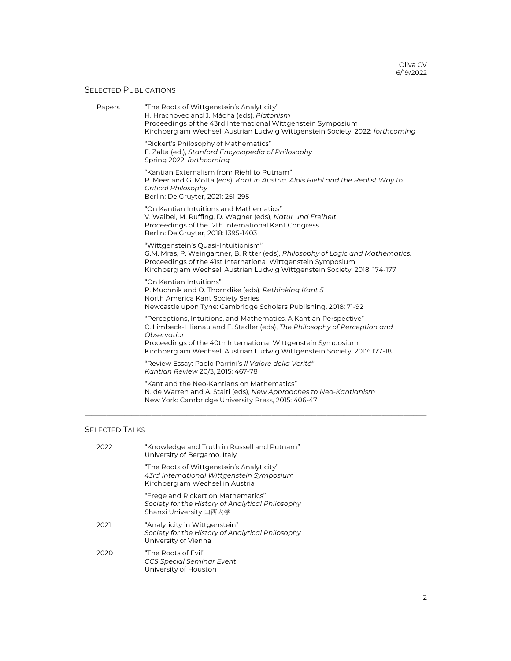# SELECTED PUBLICATIONS

| "The Roots of Wittgenstein's Analyticity"<br>H. Hrachovec and J. Mácha (eds), Platonism<br>Proceedings of the 43rd International Wittgenstein Symposium<br>Kirchberg am Wechsel: Austrian Ludwig Wittgenstein Society, 2022: forthcoming                                                                    |
|-------------------------------------------------------------------------------------------------------------------------------------------------------------------------------------------------------------------------------------------------------------------------------------------------------------|
| "Rickert's Philosophy of Mathematics"<br>E. Zalta (ed.), Stanford Encyclopedia of Philosophy<br>Spring 2022: forthcoming                                                                                                                                                                                    |
| "Kantian Externalism from Riehl to Putnam"<br>R. Meer and G. Motta (eds), Kant in Austria. Alois Riehl and the Realist Way to<br>Critical Philosophy<br>Berlin: De Gruyter, 2021: 251-295                                                                                                                   |
| "On Kantian Intuitions and Mathematics"<br>V. Waibel, M. Ruffing, D. Wagner (eds), Natur und Freiheit<br>Proceedings of the 12th International Kant Congress<br>Berlin: De Gruyter, 2018: 1395-1403                                                                                                         |
| "Wittgenstein's Quasi-Intuitionism"<br>G.M. Mras, P. Weingartner, B. Ritter (eds), Philosophy of Logic and Mathematics.<br>Proceedings of the 41st International Wittgenstein Symposium<br>Kirchberg am Wechsel: Austrian Ludwig Wittgenstein Society, 2018: 174-177                                        |
| "On Kantian Intuitions"<br>P. Muchnik and O. Thorndike (eds), Rethinking Kant 5<br>North America Kant Society Series<br>Newcastle upon Tyne: Cambridge Scholars Publishing, 2018: 71-92                                                                                                                     |
| "Perceptions, Intuitions, and Mathematics. A Kantian Perspective"<br>C. Limbeck-Lilienau and F. Stadler (eds), The Philosophy of Perception and<br>Observation<br>Proceedings of the 40th International Wittgenstein Symposium<br>Kirchberg am Wechsel: Austrian Ludwig Wittgenstein Society, 2017: 177-181 |
| "Review Essay: Paolo Parrini's Il Valore della Verità"<br>Kantian Review 20/3, 2015: 467-78                                                                                                                                                                                                                 |
| "Kant and the Neo-Kantians on Mathematics"<br>N. de Warren and A. Staiti (eds), New Approaches to Neo-Kantianism<br>New York: Cambridge University Press, 2015: 406-47                                                                                                                                      |
|                                                                                                                                                                                                                                                                                                             |

# SELECTED TALKS

| 2022 | "Knowledge and Truth in Russell and Putnam"<br>University of Bergamo, Italy                                               |
|------|---------------------------------------------------------------------------------------------------------------------------|
|      | "The Roots of Wittgenstein's Analyticity"<br>43rd International Wittgenstein Symposium<br>Kirchberg am Wechsel in Austria |
|      | "Frege and Rickert on Mathematics"<br>Society for the History of Analytical Philosophy<br>Shanxi University 山西大学          |
| 2021 | "Analyticity in Wittgenstein"<br>Society for the History of Analytical Philosophy<br>University of Vienna                 |
| 2020 | "The Roots of Fvil"<br><b>CCS Special Seminar Event</b><br>University of Houston                                          |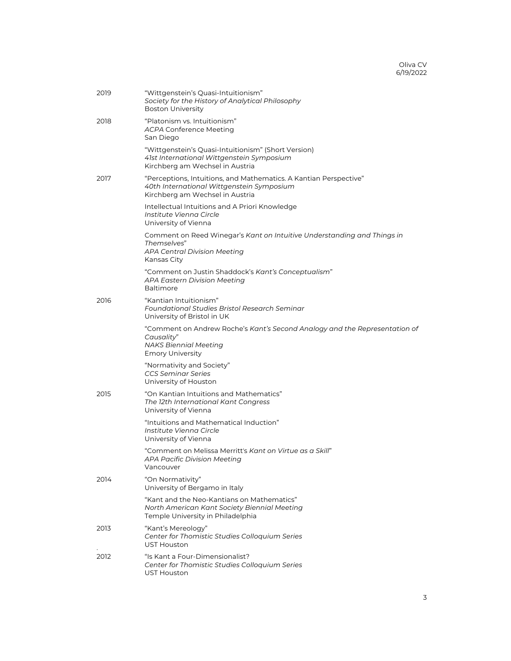| 2019 | "Wittgenstein's Quasi-Intuitionism"<br>Society for the History of Analytical Philosophy<br><b>Boston University</b>                                 |
|------|-----------------------------------------------------------------------------------------------------------------------------------------------------|
| 2018 | "Platonism vs. Intuitionism"<br><b>ACPA Conference Meeting</b><br>San Diego                                                                         |
|      | "Wittgenstein's Quasi-Intuitionism" (Short Version)<br>41st International Wittgenstein Symposium<br>Kirchberg am Wechsel in Austria                 |
| 2017 | "Perceptions, Intuitions, and Mathematics. A Kantian Perspective"<br>40th International Wittgenstein Symposium<br>Kirchberg am Wechsel in Austria   |
|      | Intellectual Intuitions and A Priori Knowledge<br>Institute Vienna Circle<br>University of Vienna                                                   |
|      | Comment on Reed Winegar's Kant on Intuitive Understanding and Things in<br>Themselves"<br>APA Central Division Meeting<br>Kansas City               |
|      | "Comment on Justin Shaddock's Kant's Conceptualism"<br><b>APA Eastern Division Meeting</b><br><b>Baltimore</b>                                      |
| 2016 | "Kantian Intuitionism"<br><b>Foundational Studies Bristol Research Seminar</b><br>University of Bristol in UK                                       |
|      | "Comment on Andrew Roche's Kant's Second Analogy and the Representation of<br>Causality"<br><b>NAKS Biennial Meeting</b><br><b>Emory University</b> |
|      | "Normativity and Society"<br><b>CCS Seminar Series</b><br>University of Houston                                                                     |
| 2015 | "On Kantian Intuitions and Mathematics"<br>The 12th International Kant Congress<br>University of Vienna                                             |
|      | "Intuitions and Mathematical Induction"<br>Institute Vienna Circle<br>University of Vienna                                                          |
|      | "Comment on Melissa Merritt's Kant on Virtue as a Skill"<br>APA Pacific Division Meeting<br>Vancouver                                               |
| 2014 | "On Normativity"<br>University of Bergamo in Italy                                                                                                  |
|      | "Kant and the Neo-Kantians on Mathematics"<br>North American Kant Society Biennial Meeting<br>Temple University in Philadelphia                     |
| 2013 | "Kant's Mereology"<br>Center for Thomistic Studies Colloquium Series<br><b>UST Houston</b>                                                          |
| 2012 | "Is Kant a Four-Dimensionalist?<br>Center for Thomistic Studies Colloquium Series<br><b>UST Houston</b>                                             |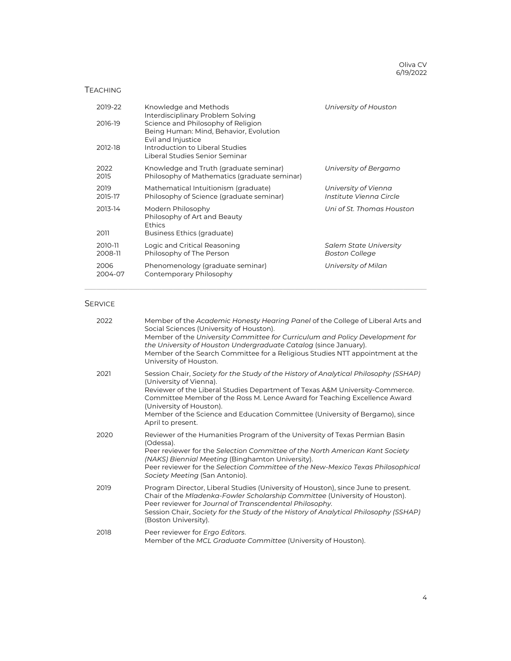Oliva CV 6/19/2022

### TEACHING

| 2019-22            | Knowledge and Methods<br>Interdisciplinary Problem Solving                                         | University of Houston                           |
|--------------------|----------------------------------------------------------------------------------------------------|-------------------------------------------------|
| 2016-19            | Science and Philosophy of Religion<br>Being Human: Mind, Behavior, Evolution<br>Evil and Injustice |                                                 |
| 2012-18            | Introduction to Liberal Studies<br>Liberal Studies Senior Seminar                                  |                                                 |
| 2022<br>2015       | Knowledge and Truth (graduate seminar)<br>Philosophy of Mathematics (graduate seminar)             | University of Bergamo                           |
| 2019<br>2015-17    | Mathematical Intuitionism (graduate)<br>Philosophy of Science (graduate seminar)                   | University of Vienna<br>Institute Vienna Circle |
| 2013-14            | Modern Philosophy<br>Philosophy of Art and Beauty<br>Ethics                                        | Uni of St. Thomas Houston                       |
| 2011               | Business Ethics (graduate)                                                                         |                                                 |
| 2010-11<br>2008-11 | Logic and Critical Reasoning<br>Philosophy of The Person                                           | Salem State University<br><b>Boston College</b> |
| 2006<br>2004-07    | Phenomenology (graduate seminar)<br>Contemporary Philosophy                                        | University of Milan                             |

\_\_\_\_\_\_\_\_\_\_\_\_\_\_\_\_\_\_\_\_\_\_\_\_\_\_\_\_\_\_\_\_\_\_\_\_\_\_\_\_\_\_\_\_\_\_\_\_\_\_\_\_\_\_\_\_\_\_\_\_\_\_\_\_\_\_\_\_\_\_\_\_\_\_\_\_\_\_\_\_\_\_\_\_\_\_\_\_\_\_\_\_\_\_\_\_\_\_\_\_\_\_\_\_\_\_\_\_\_\_\_\_\_\_\_\_\_\_\_\_\_\_\_\_\_\_\_\_\_\_\_\_\_\_\_\_\_\_\_\_\_\_\_\_\_\_\_\_\_\_\_\_\_\_\_\_\_\_\_\_\_\_\_\_\_\_\_\_\_\_\_\_\_\_\_\_\_\_\_\_\_\_\_\_\_\_\_\_\_\_\_\_\_\_\_\_\_\_\_\_\_\_\_\_\_

# **SERVICE**

| 2022 | Member of the Academic Honesty Hearing Panel of the College of Liberal Arts and<br>Social Sciences (University of Houston).<br>Member of the University Committee for Curriculum and Policy Development for<br>the University of Houston Undergraduate Catalog (since January).<br>Member of the Search Committee for a Religious Studies NTT appointment at the<br>University of Houston.                    |
|------|---------------------------------------------------------------------------------------------------------------------------------------------------------------------------------------------------------------------------------------------------------------------------------------------------------------------------------------------------------------------------------------------------------------|
| 2021 | Session Chair, Society for the Study of the History of Analytical Philosophy (SSHAP)<br>(University of Vienna).<br>Reviewer of the Liberal Studies Department of Texas A&M University-Commerce.<br>Committee Member of the Ross M. Lence Award for Teaching Excellence Award<br>(University of Houston).<br>Member of the Science and Education Committee (University of Bergamo), since<br>April to present. |
| 2020 | Reviewer of the Humanities Program of the University of Texas Permian Basin<br>(Odessa).<br>Peer reviewer for the Selection Committee of the North American Kant Society<br>(NAKS) Biennial Meeting (Binghamton University).<br>Peer reviewer for the Selection Committee of the New-Mexico Texas Philosophical<br>Society Meeting (San Antonio).                                                             |
| 2019 | Program Director, Liberal Studies (University of Houston), since June to present.<br>Chair of the Mladenka-Fowler Scholarship Committee (University of Houston).<br>Peer reviewer for Journal of Transcendental Philosophy.<br>Session Chair, Society for the Study of the History of Analytical Philosophy (SSHAP)<br>(Boston University).                                                                   |
| 2018 | Peer reviewer for Ergo Editors.<br>Member of the MCL Graduate Committee (University of Houston).                                                                                                                                                                                                                                                                                                              |